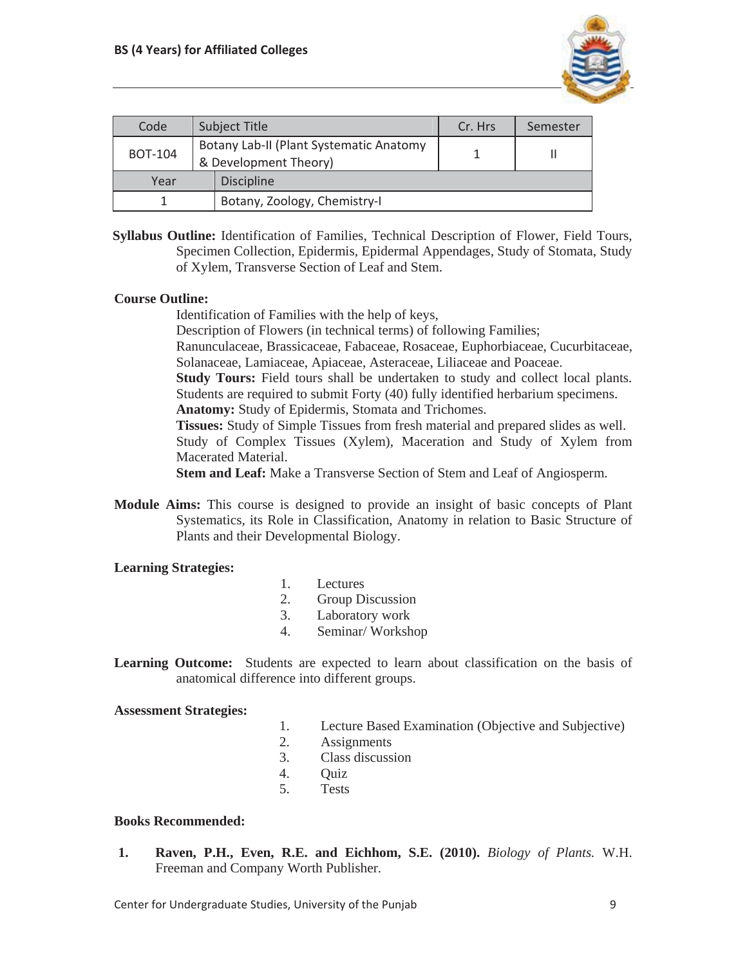

| Code           |  | <b>Subject Title</b>                                             | Cr. Hrs | Semester |
|----------------|--|------------------------------------------------------------------|---------|----------|
| <b>BOT-104</b> |  | Botany Lab-II (Plant Systematic Anatomy<br>& Development Theory) |         |          |
| Year           |  | <b>Discipline</b>                                                |         |          |
|                |  | Botany, Zoology, Chemistry-I                                     |         |          |

**Syllabus Outline:** Identification of Families, Technical Description of Flower, Field Tours, Specimen Collection, Epidermis, Epidermal Appendages, Study of Stomata, Study of Xylem, Transverse Section of Leaf and Stem.

## **Course Outline:**

Identification of Families with the help of keys,

Description of Flowers (in technical terms) of following Families;

Ranunculaceae, Brassicaceae, Fabaceae, Rosaceae, Euphorbiaceae, Cucurbitaceae, Solanaceae, Lamiaceae, Apiaceae, Asteraceae, Liliaceae and Poaceae.

**Study Tours:** Field tours shall be undertaken to study and collect local plants. Students are required to submit Forty (40) fully identified herbarium specimens. **Anatomy:** Study of Epidermis, Stomata and Trichomes.

**Tissues:** Study of Simple Tissues from fresh material and prepared slides as well. Study of Complex Tissues (Xylem), Maceration and Study of Xylem from Macerated Material.

**Stem and Leaf:** Make a Transverse Section of Stem and Leaf of Angiosperm.

**Module Aims:** This course is designed to provide an insight of basic concepts of Plant Systematics, its Role in Classification, Anatomy in relation to Basic Structure of Plants and their Developmental Biology.

## **Learning Strategies:**

- 1. Lectures
- 2. Group Discussion
- 3. Laboratory work
- 4. Seminar/ Workshop

**Learning Outcome:** Students are expected to learn about classification on the basis of anatomical difference into different groups.

## **Assessment Strategies:**

- 1. Lecture Based Examination (Objective and Subjective)
- 2. Assignments
- 3. Class discussion
- 4. Quiz
- 5. Tests

## **Books Recommended:**

**1. Raven, P.H., Even, R.E. and Eichhom, S.E. (2010).** *Biology of Plants.* W.H. Freeman and Company Worth Publisher.